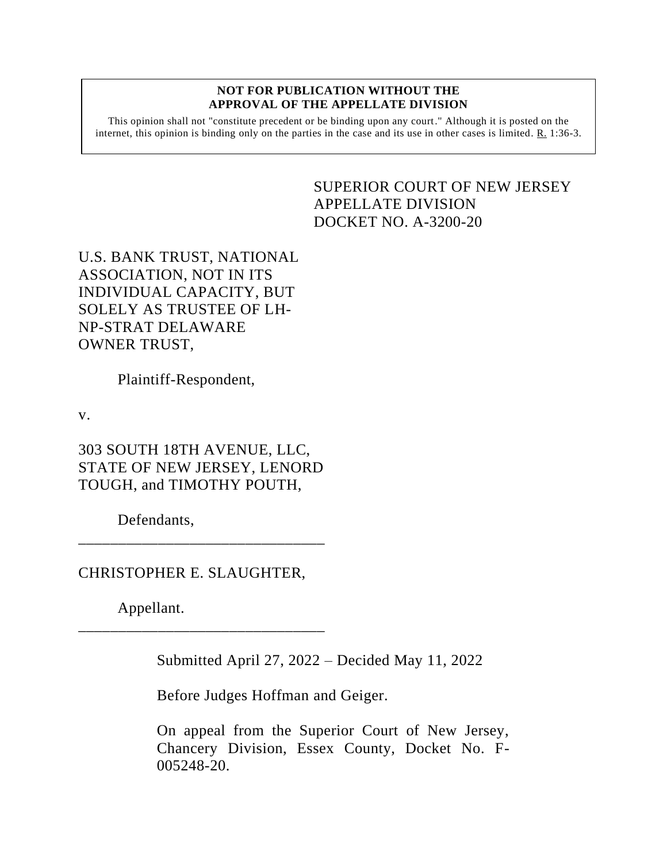## **NOT FOR PUBLICATION WITHOUT THE APPROVAL OF THE APPELLATE DIVISION**

This opinion shall not "constitute precedent or be binding upon any court." Although it is posted on the internet, this opinion is binding only on the parties in the case and its use in other cases is limited. R. 1:36-3.

## <span id="page-0-0"></span>SUPERIOR COURT OF NEW JERSEY APPELLATE DIVISION DOCKET NO. A-3200-20

U.S. BANK TRUST, NATIONAL ASSOCIATION, NOT IN ITS INDIVIDUAL CAPACITY, BUT SOLELY AS TRUSTEE OF LH-NP-STRAT DELAWARE OWNER TRUST,

Plaintiff-Respondent,

v.

303 SOUTH 18TH AVENUE, LLC, STATE OF NEW JERSEY, LENORD TOUGH, and TIMOTHY POUTH,

\_\_\_\_\_\_\_\_\_\_\_\_\_\_\_\_\_\_\_\_\_\_\_\_\_\_\_\_\_\_\_

\_\_\_\_\_\_\_\_\_\_\_\_\_\_\_\_\_\_\_\_\_\_\_\_\_\_\_\_\_\_\_

Defendants,

CHRISTOPHER E. SLAUGHTER,

Appellant.

Submitted April 27, 2022 – Decided May 11, 2022

Before Judges Hoffman and Geiger.

On appeal from the Superior Court of New Jersey, Chancery Division, Essex County, Docket No. F-005248-20.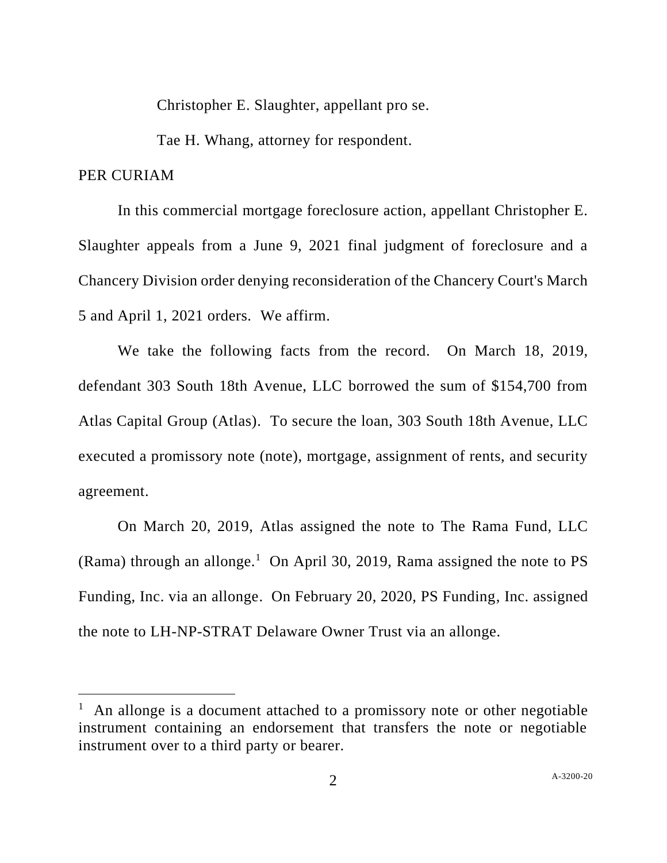Christopher E. Slaughter, appellant pro se.

Tae H. Whang, attorney for respondent.

## PER CURIAM

In this commercial mortgage foreclosure action, appellant Christopher E. Slaughter appeals from a June 9, 2021 final judgment of foreclosure and a Chancery Division order denying reconsideration of the Chancery Court's March 5 and April 1, 2021 orders. We affirm.

We take the following facts from the record. On March 18, 2019, defendant 303 South 18th Avenue, LLC borrowed the sum of \$154,700 from Atlas Capital Group (Atlas). To secure the loan, 303 South 18th Avenue, LLC executed a promissory note (note), mortgage, assignment of rents, and security agreement.

On March 20, 2019, Atlas assigned the note to The Rama Fund, LLC (Rama) through an allonge.<sup>1</sup> On April 30, 2019, Rama assigned the note to PS Funding, Inc. via an allonge. On February 20, 2020, PS Funding, Inc. assigned the note to LH-NP-STRAT Delaware Owner Trust via an allonge.

<sup>&</sup>lt;sup>1</sup> An allonge is a document attached to a promissory note or other negotiable instrument containing an endorsement that transfers the note or negotiable instrument over to a third party or bearer.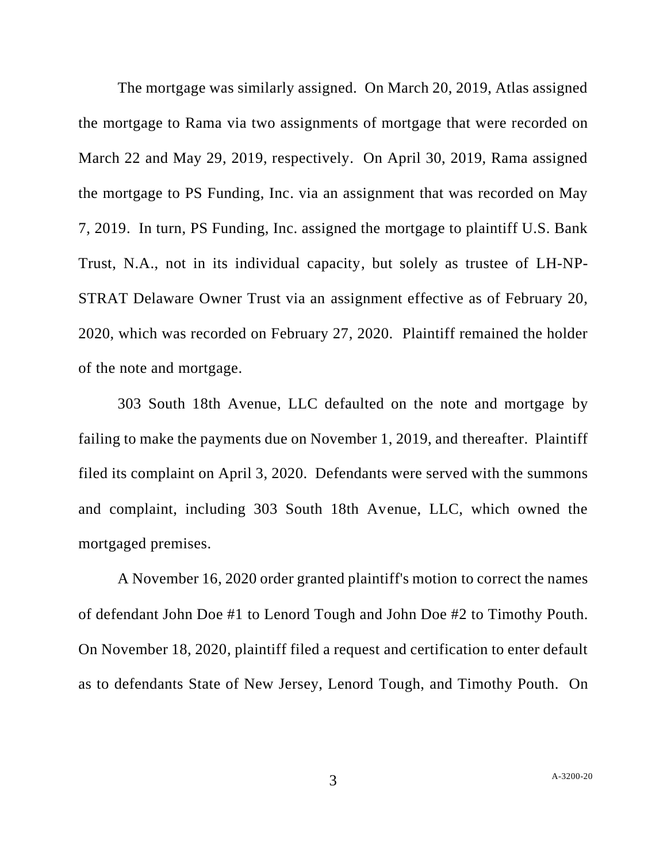The mortgage was similarly assigned. On March 20, 2019, Atlas assigned the mortgage to Rama via two assignments of mortgage that were recorded on March 22 and May 29, 2019, respectively. On April 30, 2019, Rama assigned the mortgage to PS Funding, Inc. via an assignment that was recorded on May 7, 2019. In turn, PS Funding, Inc. assigned the mortgage to plaintiff U.S. Bank Trust, N.A., not in its individual capacity, but solely as trustee of LH-NP-STRAT Delaware Owner Trust via an assignment effective as of February 20, 2020, which was recorded on February 27, 2020. Plaintiff remained the holder of the note and mortgage.

303 South 18th Avenue, LLC defaulted on the note and mortgage by failing to make the payments due on November 1, 2019, and thereafter. Plaintiff filed its complaint on April 3, 2020. Defendants were served with the summons and complaint, including 303 South 18th Avenue, LLC, which owned the mortgaged premises.

A November 16, 2020 order granted plaintiff's motion to correct the names of defendant John Doe #1 to Lenord Tough and John Doe #2 to Timothy Pouth. On November 18, 2020, plaintiff filed a request and certification to enter default as to defendants State of New Jersey, Lenord Tough, and Timothy Pouth. On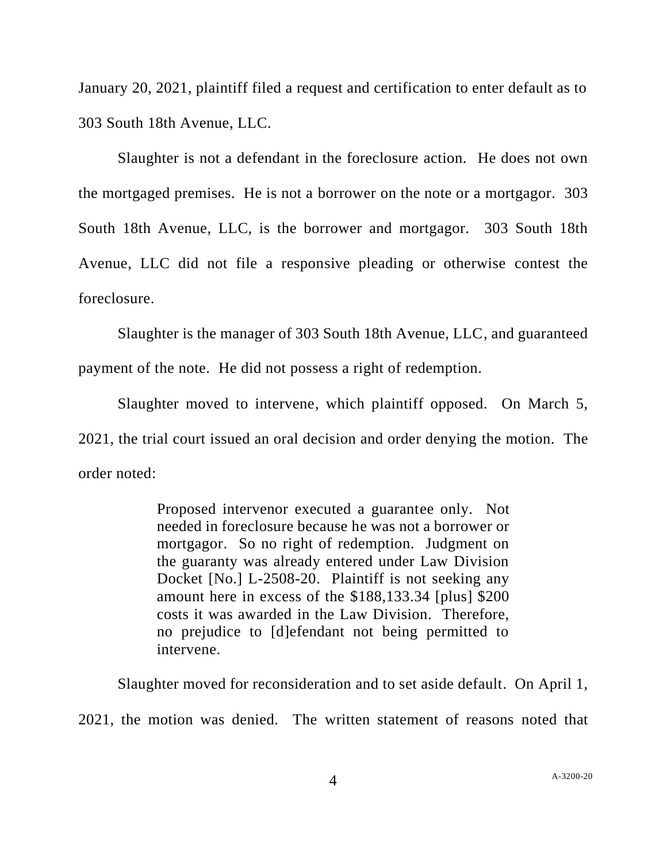January 20, 2021, plaintiff filed a request and certification to enter default as to 303 South 18th Avenue, LLC.

Slaughter is not a defendant in the foreclosure action. He does not own the mortgaged premises. He is not a borrower on the note or a mortgagor. 303 South 18th Avenue, LLC, is the borrower and mortgagor. 303 South 18th Avenue, LLC did not file a responsive pleading or otherwise contest the foreclosure.

Slaughter is the manager of 303 South 18th Avenue, LLC, and guaranteed payment of the note. He did not possess a right of redemption.

Slaughter moved to intervene, which plaintiff opposed. On March 5, 2021, the trial court issued an oral decision and order denying the motion. The order noted:

> Proposed intervenor executed a guarantee only. Not needed in foreclosure because he was not a borrower or mortgagor. So no right of redemption. Judgment on the guaranty was already entered under Law Division Docket [No.] L-2508-20. Plaintiff is not seeking any amount here in excess of the \$188,133.34 [plus] \$200 costs it was awarded in the Law Division. Therefore, no prejudice to [d]efendant not being permitted to intervene.

Slaughter moved for reconsideration and to set aside default. On April 1, 2021, the motion was denied. The written statement of reasons noted that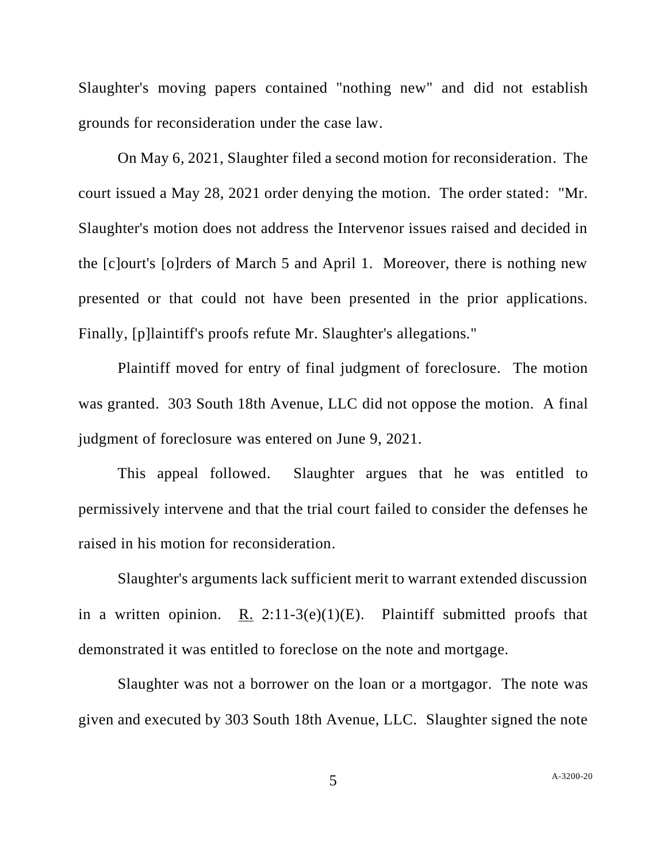Slaughter's moving papers contained "nothing new" and did not establish grounds for reconsideration under the case law.

On May 6, 2021, Slaughter filed a second motion for reconsideration. The court issued a May 28, 2021 order denying the motion. The order stated: "Mr. Slaughter's motion does not address the Intervenor issues raised and decided in the [c]ourt's [o]rders of March 5 and April 1. Moreover, there is nothing new presented or that could not have been presented in the prior applications. Finally, [p]laintiff's proofs refute Mr. Slaughter's allegations."

Plaintiff moved for entry of final judgment of foreclosure. The motion was granted. 303 South 18th Avenue, LLC did not oppose the motion. A final judgment of foreclosure was entered on June 9, 2021.

This appeal followed. Slaughter argues that he was entitled to permissively intervene and that the trial court failed to consider the defenses he raised in his motion for reconsideration.

Slaughter's arguments lack sufficient merit to warrant extended discussion in a written opinion. R.  $2:11-3(e)(1)(E)$ . Plaintiff submitted proofs that demonstrated it was entitled to foreclose on the note and mortgage.

Slaughter was not a borrower on the loan or a mortgagor. The note was given and executed by 303 South 18th Avenue, LLC. Slaughter signed the note

5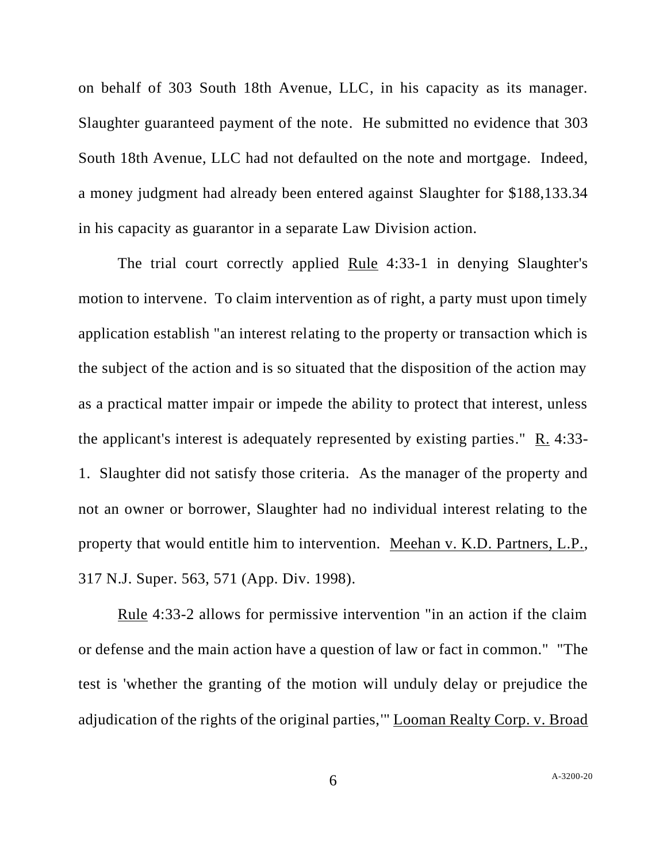on behalf of 303 South 18th Avenue, LLC, in his capacity as its manager. Slaughter guaranteed payment of the note. He submitted no evidence that 303 South 18th Avenue, LLC had not defaulted on the note and mortgage. Indeed, a money judgment had already been entered against Slaughter for \$188,133.34 in his capacity as guarantor in a separate Law Division action.

The trial court correctly applied Rule 4:33-1 in denying Slaughter's motion to intervene. To claim intervention as of right, a party must upon timely application establish "an interest relating to the property or transaction which is the subject of the action and is so situated that the disposition of the action may as a practical matter impair or impede the ability to protect that interest, unless the applicant's interest is adequately represented by existing parties." R. 4:33- 1. Slaughter did not satisfy those criteria. As the manager of the property and not an owner or borrower, Slaughter had no individual interest relating to the property that would entitle him to intervention. Meehan v. K.D. Partners, L.P., 317 N.J. Super. 563, 571 (App. Div. 1998).

Rule 4:33-2 allows for permissive intervention "in an action if the claim or defense and the main action have a question of law or fact in common." "The test is 'whether the granting of the motion will unduly delay or prejudice the adjudication of the rights of the original parties,'" Looman Realty Corp. v. Broad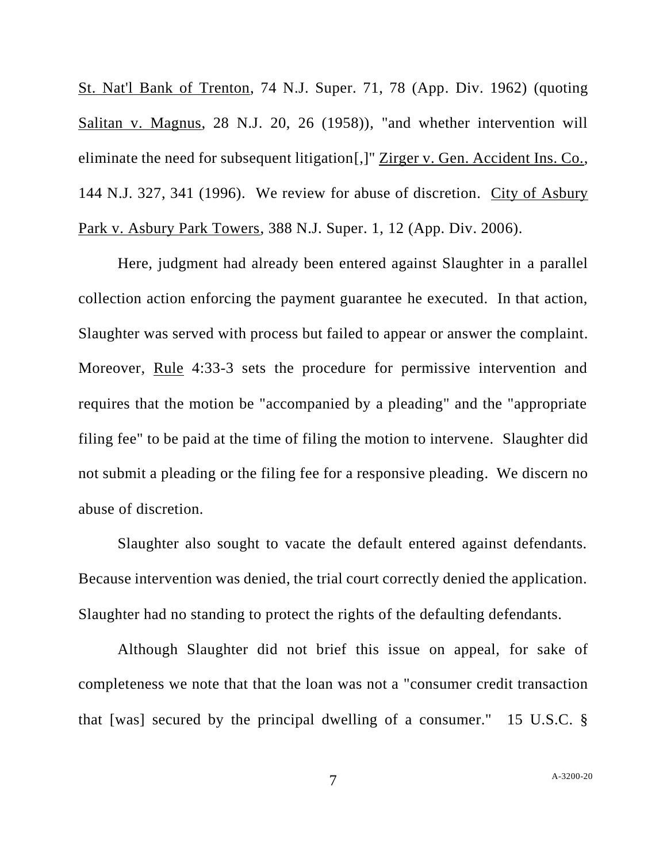St. Nat'l Bank of Trenton, 74 N.J. Super. 71, 78 (App. Div. 1962) (quoting Salitan v. Magnus, 28 N.J. 20, 26 (1958)), "and whether intervention will eliminate the need for subsequent litigation[,]" Zirger v. Gen. Accident Ins. Co., 144 N.J. 327, 341 (1996). We review for abuse of discretion. City of Asbury Park v. Asbury Park Towers, 388 N.J. Super. 1, 12 (App. Div. 2006).

Here, judgment had already been entered against Slaughter in a parallel collection action enforcing the payment guarantee he executed. In that action, Slaughter was served with process but failed to appear or answer the complaint. Moreover, Rule 4:33-3 sets the procedure for permissive intervention and requires that the motion be "accompanied by a pleading" and the "appropriate filing fee" to be paid at the time of filing the motion to intervene. Slaughter did not submit a pleading or the filing fee for a responsive pleading. We discern no abuse of discretion.

Slaughter also sought to vacate the default entered against defendants. Because intervention was denied, the trial court correctly denied the application. Slaughter had no standing to protect the rights of the defaulting defendants.

Although Slaughter did not brief this issue on appeal, for sake of completeness we note that that the loan was not a "consumer credit transaction that [was] secured by the principal dwelling of a consumer." 15 U.S.C. §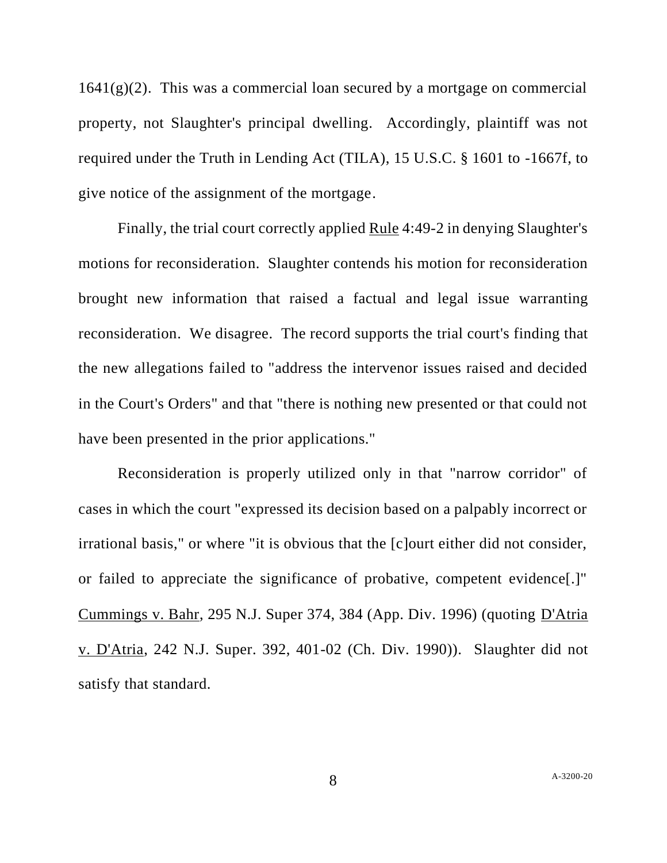$1641(g)(2)$ . This was a commercial loan secured by a mortgage on commercial property, not Slaughter's principal dwelling. Accordingly, plaintiff was not required under the Truth in Lending Act (TILA), 15 U.S.C. § 1601 to -1667f, to give notice of the assignment of the mortgage.

Finally, the trial court correctly applied Rule 4:49-2 in denying Slaughter's motions for reconsideration. Slaughter contends his motion for reconsideration brought new information that raised a factual and legal issue warranting reconsideration. We disagree. The record supports the trial court's finding that the new allegations failed to "address the intervenor issues raised and decided in the Court's Orders" and that "there is nothing new presented or that could not have been presented in the prior applications."

Reconsideration is properly utilized only in that "narrow corridor" of cases in which the court "expressed its decision based on a palpably incorrect or irrational basis," or where "it is obvious that the [c]ourt either did not consider, or failed to appreciate the significance of probative, competent evidence[.]" Cummings v. Bahr, 295 N.J. Super 374, 384 (App. Div. 1996) (quoting D'Atria v. D'Atria, 242 N.J. Super. 392, 401-02 (Ch. Div. 1990)). Slaughter did not satisfy that standard.